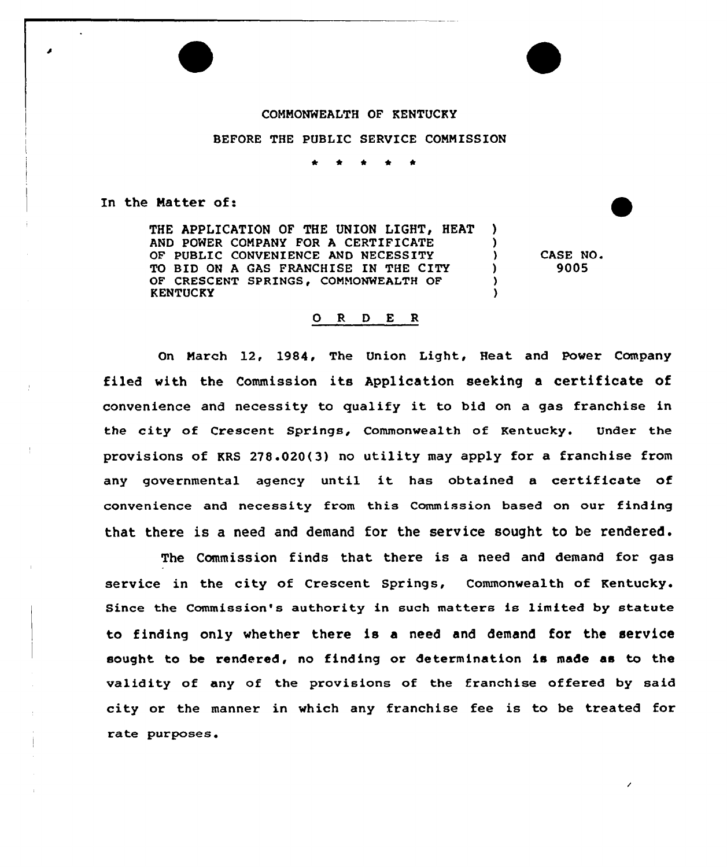## COMNONWEALTH OF KENTUCKY

## BEFORE THE PUBLIC SERVICE COMMISSION

In the Natter of:

THE APPLICATION OF THE UNION LIGHT, HEAT ) AND POWER COMPANY FOR A CERTIFICATE (1)<br>OF PUBLIC CONVENIENCE AND NECESSITY OF PUBLIC CONVENIENCE AND NECESSITY TO BID ON A GAS FRANCHISE IN THE CITY (1)<br>OF CRESCENT SPRINGS. COMMONWEALTH OF (1) OF CRESCENT SPRINGS, COMMONWEALTH OF **KENTUCKY** 

CASE NO. 9005

## ORDER

On March 12, 1984, The Union Light, Heat and Power Company filed with the Commission its Application seeking <sup>a</sup> certificate of convenience and necessity to qualify it to bid on <sup>a</sup> gas franchise in the city of Crescent Springs, Commonwealth of Kentucky. Under the provisions of KRS 278.020(3) no utility may apply for a franchise from any governmental agency until it has obtained <sup>a</sup> certificate of convenience and necessity from this Commission based on our finding that there is <sup>a</sup> need and demand for the service sought to be rendered .

The Commission finds that there is a need and demand for gas service in the city of Crescent Springs, Commonwealth of Kentucky. Since the Commission's authority in such matters is limited by statute to finding only whether there is a need and demand for the service sought to be rendered, no finding or determination is made as to the validity of any of the provisions of the franchise offered by said city or the manner in which any franchise fee is to be treated for rate purposes.